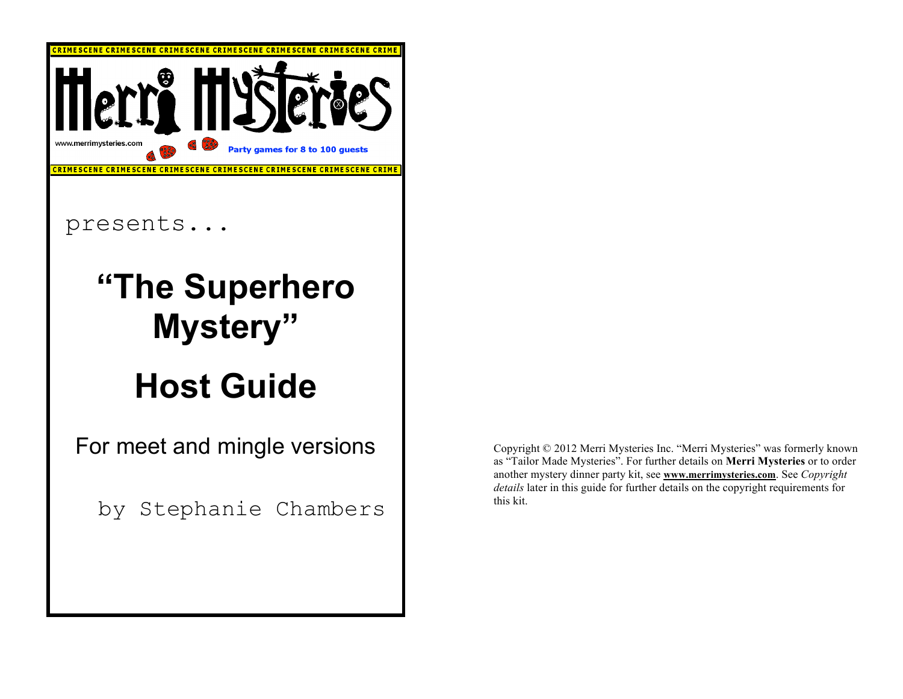

Copyright © 2012 Merri Mysteries Inc. "Merri Mysteries" was formerly known as "Tailor Made Mysteries". For further details on **Merri Mysteries** or to order another mystery dinner party kit, see **www.merrimysteries.com**. See *Copyright details* later in this guide for further details on the copyright requirements for this kit.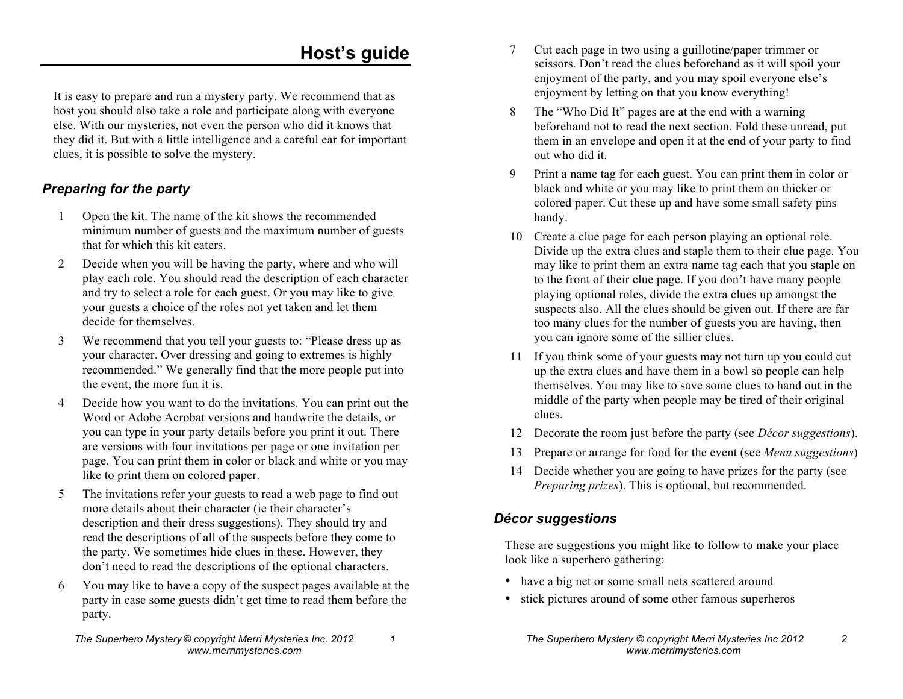# **Host's guide**

It is easy to prepare and run a mystery party. We recommend that as host you should also take a role and participate along with everyone else. With our mysteries, not even the person who did it knows that they did it. But with a little intelligence and a careful ear for important clues, it is possible to solve the mystery.

#### *Preparing for the party*

- 1 Open the kit. The name of the kit shows the recommended minimum number of guests and the maximum number of guests that for which this kit caters.
- 2 Decide when you will be having the party, where and who will play each role. You should read the description of each character and try to select a role for each guest. Or you may like to give your guests a choice of the roles not yet taken and let them decide for themselves.
- 3 We recommend that you tell your guests to: "Please dress up as your character. Over dressing and going to extremes is highly recommended." We generally find that the more people put into the event, the more fun it is.
- 4 Decide how you want to do the invitations. You can print out the Word or Adobe Acrobat versions and handwrite the details, or you can type in your party details before you print it out. There are versions with four invitations per page or one invitation per page. You can print them in color or black and white or you may like to print them on colored paper.
- 5 The invitations refer your guests to read a web page to find out more details about their character (ie their character's description and their dress suggestions). They should try and read the descriptions of all of the suspects before they come to the party. We sometimes hide clues in these. However, they don't need to read the descriptions of the optional characters.
- 6 You may like to have a copy of the suspect pages available at the party in case some guests didn't get time to read them before the party.
- 7 Cut each page in two using a guillotine/paper trimmer or scissors. Don't read the clues beforehand as it will spoil your enjoyment of the party, and you may spoil everyone else's enjoyment by letting on that you know everything!
- 8 The "Who Did It" pages are at the end with a warning beforehand not to read the next section. Fold these unread, put them in an envelope and open it at the end of your party to find out who did it.
- 9 Print a name tag for each guest. You can print them in color or black and white or you may like to print them on thicker or colored paper. Cut these up and have some small safety pins handy.
- 10 Create a clue page for each person playing an optional role. Divide up the extra clues and staple them to their clue page. You may like to print them an extra name tag each that you staple on to the front of their clue page. If you don't have many people playing optional roles, divide the extra clues up amongst the suspects also. All the clues should be given out. If there are far too many clues for the number of guests you are having, then you can ignore some of the sillier clues.
- 11 If you think some of your guests may not turn up you could cut up the extra clues and have them in a bowl so people can help themselves. You may like to save some clues to hand out in the middle of the party when people may be tired of their original clues.
- 12 Decorate the room just before the party (see *Décor suggestions*).
- 13 Prepare or arrange for food for the event (see *Menu suggestions*).
- 14 Decide whether you are going to have prizes for the party (see *Preparing prizes*). This is optional, but recommended.

## *Décor suggestions*

These are suggestions you might like to follow to make your place look like a superhero gathering:

- have a big net or some small nets scattered around
- stick pictures around of some other famous superheros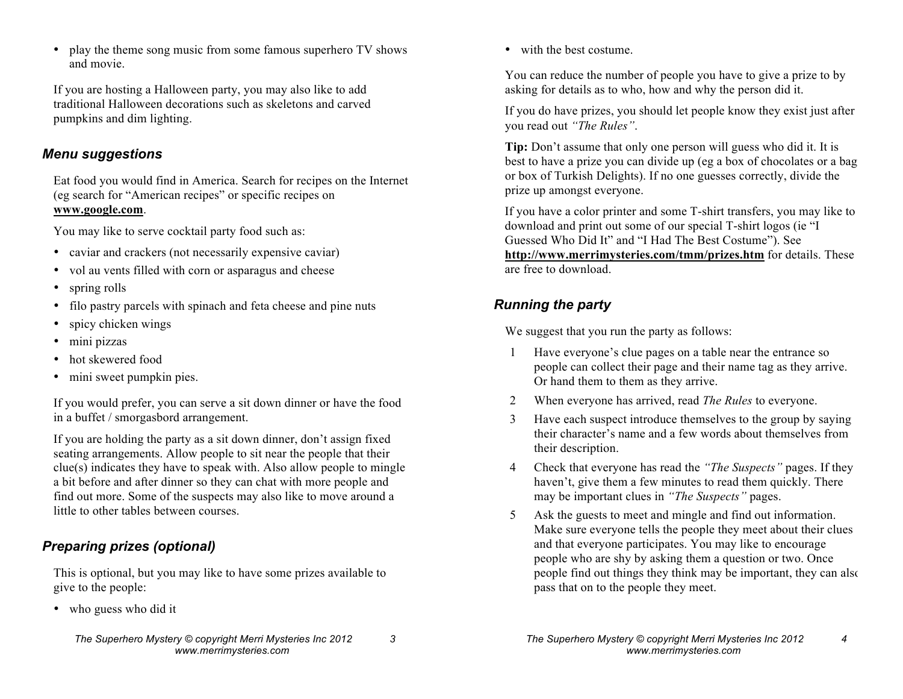• play the theme song music from some famous superhero TV shows and movie.

If you are hosting a Halloween party, you may also like to add traditional Halloween decorations such as skeletons and carved pumpkins and dim lighting.

#### *Menu suggestions*

Eat food you would find in America. Search for recipes on the Internet (eg search for "American recipes" or specific recipes on **www.google.com**.

You may like to serve cocktail party food such as:

- caviar and crackers (not necessarily expensive caviar)
- vol au vents filled with corn or asparagus and cheese
- spring rolls
- filo pastry parcels with spinach and feta cheese and pine nuts
- spicy chicken wings
- mini pizzas
- hot skewered food
- mini sweet pumpkin pies.

If you would prefer, you can serve a sit down dinner or have the food in a buffet / smorgasbord arrangement.

If you are holding the party as a sit down dinner, don't assign fixed seating arrangements. Allow people to sit near the people that their clue(s) indicates they have to speak with. Also allow people to mingle a bit before and after dinner so they can chat with more people and find out more. Some of the suspects may also like to move around a little to other tables between courses.

#### *Preparing prizes (optional)*

This is optional, but you may like to have some prizes available to give to the people:

• who guess who did it

• with the best costume.

You can reduce the number of people you have to give a prize to by asking for details as to who, how and why the person did it.

If you do have prizes, you should let people know they exist just after you read out *"The Rules"*.

**Tip:** Don't assume that only one person will guess who did it. It is best to have a prize you can divide up (eg a box of chocolates or a bag or box of Turkish Delights). If no one guesses correctly, divide the prize up amongst everyone.

If you have a color printer and some T-shirt transfers, you may like to download and print out some of our special T-shirt logos (ie "I Guessed Who Did It" and "I Had The Best Costume"). See **http://www.merrimysteries.com/tmm/prizes.htm** for details. These are free to download.

### *Running the party*

We suggest that you run the party as follows:

- 1 Have everyone's clue pages on a table near the entrance so people can collect their page and their name tag as they arrive. Or hand them to them as they arrive.
- 2 When everyone has arrived, read *The Rules* to everyone.
- 3 Have each suspect introduce themselves to the group by saying their character's name and a few words about themselves from their description.
- 4 Check that everyone has read the *"The Suspects"* pages. If they haven't, give them a few minutes to read them quickly. There may be important clues in *"The Suspects"* pages.
- 5 Ask the guests to meet and mingle and find out information. Make sure everyone tells the people they meet about their clues and that everyone participates. You may like to encourage people who are shy by asking them a question or two. Once people find out things they think may be important, they can also pass that on to the people they meet.